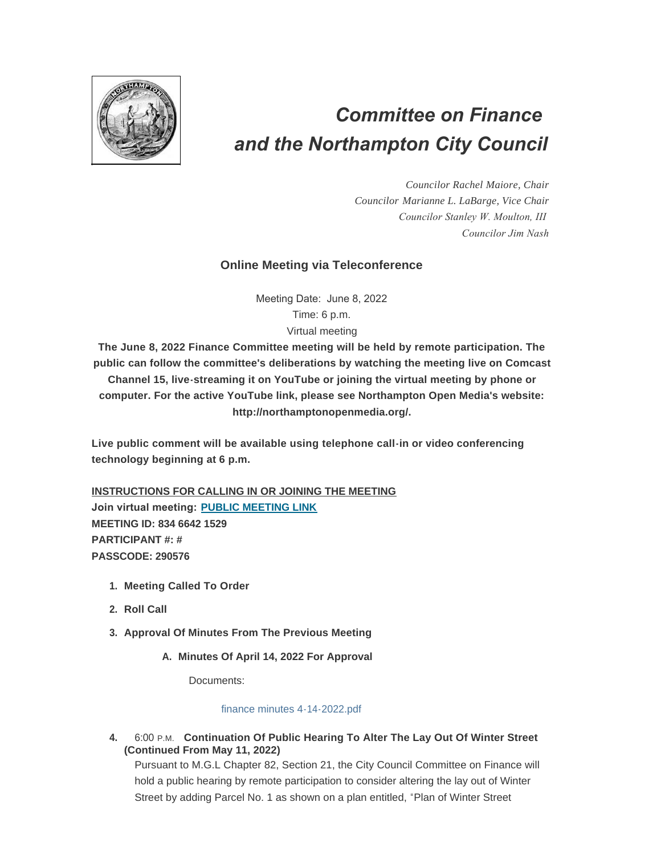

# *Committee on Finance and the Northampton City Council*

*Councilor Rachel Maiore, Chair Councilor Marianne L. LaBarge, Vice Chair Councilor Stanley W. Moulton, III Councilor Jim Nash*

## **Online Meeting via Teleconference**

Meeting Date: June 8, 2022 Time: 6 p.m.

#### Virtual meeting

**The June 8, 2022 Finance Committee meeting will be held by remote participation. The public can follow the committee's deliberations by watching the meeting live on Comcast Channel 15, live-streaming it on YouTube or joining the virtual meeting by phone or computer. For the active YouTube link, please see Northampton Open Media's website: http://northamptonopenmedia.org/.**

**Live public comment will be available using telephone call-in or video conferencing technology beginning at 6 p.m.**

**INSTRUCTIONS FOR CALLING IN OR JOINING THE MEETING Join virtual meeting: [PUBLIC MEETING LINK](https://us06web.zoom.us/j/83466421529?pwd=UHVvSk9IUXNSWVhXcVFybEpOSmtxZz09) MEETING ID: 834 6642 1529 PARTICIPANT #: # PASSCODE: 290576**

- **Meeting Called To Order 1.**
- **Roll Call 2.**
- **Approval Of Minutes From The Previous Meeting 3.**
	- **Minutes Of April 14, 2022 For Approval A.**

Documents:

#### [finance minutes 4-14-2022.pdf](https://northamptonma.gov/AgendaCenter/ViewFile/Item/19247?fileID=166993)

**4.** 6:00 P.M. Continuation Of Public Hearing To Alter The Lay Out Of Winter Street **(Continued From May 11, 2022)**

Pursuant to M.G.L Chapter 82, Section 21, the City Council Committee on Finance will hold a public hearing by remote participation to consider altering the lay out of Winter Street by adding Parcel No. 1 as shown on a plan entitled, "Plan of Winter Street